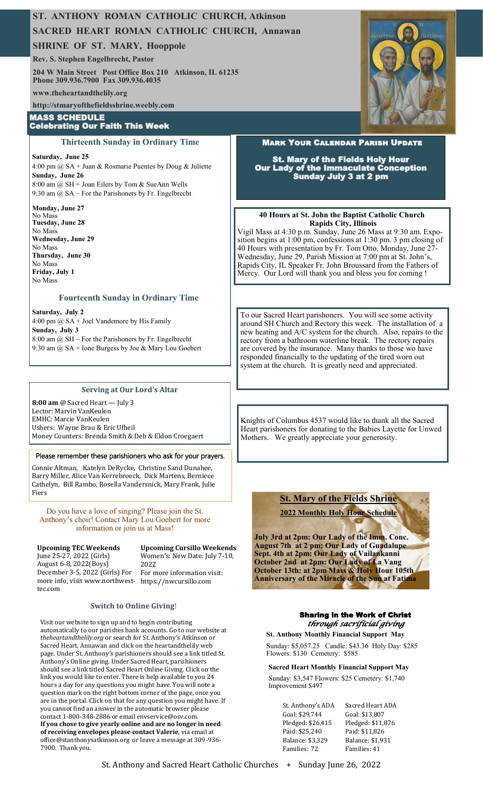# **ST. ANTHONY ROMAN CATHOLIC CHURCH, Atkinson**

# **SACRED HEART ROMAN CATHOLIC CHURCH, Annawan**

**SHRINE OF ST. MARY, Hooppole**

**Rev. S. Stephen Engelbrecht, Pastor**

**204 W Main Street Post Office Box 210 Atkinson, IL 61235 Phone 309.936.7900 Fax 309.936.4035**

**www.theheartandthelily.org** 

**http://stmaryofthefieldsshrine.weebly.com**

#### **MASS SCHEDULE Celebrating Our Faith This Week**

#### **Thirteenth Sunday in Ordinary Time**

**Saturday, June 25** 4:00 pm  $@$  SA + Juan & Rosmarie Puentes by Doug & Juliette **Sunday, June 26** 8:00 am @ SH + Joan Eilers by Tom & SueAnn Wells 9:30 am @ SA – For the Parishoners by Fr. Engelbrecht

**Monday, June 27** No Mass **Tuesday, June 28** No Mass **Wednesday, June 29** No Mass **Thursday, June 30** No Mass **Friday, July 1** No Mass

## **Fourteenth Sunday in Ordinary Time**

**Saturday, July 2** 4:00 pm  $\omega$  SA + Joel Vandemore by His Family **Sunday, July 3** 8:00 am @ SH – For the Parishoners by Fr. Engelbrecht 9:30 am @ SA + Ione Burgess by Joe & Mary Lou Goebert

## **Serving at Our Lord's Altar**

**8:00 am** @ Sacred Heart — July 3 Lector: Marvin VanKeulen EMHC: Marcie VanKeulen Ushers: Wayne Brau & Eric Ufheil Money Counters: Brenda Smith & Deb & Eldon Croegaert

# Please remember these parishioners who ask for your prayers.

Connie Altman, Katelyn DeRycke, Christine Sand Dunahee, Barry Miller, Alice Van Kerrebroeck, Dick Martens, Berniece Cathelyn, Bill Rambo, Rosella Vandersnick, Mary Frank, Julie Fiers

Do you have a love of singing? Please join the St. Anthony's choir! Contact Mary Lou Goebert for more information or join us at Mass!

#### **Upcoming TEC Weekends**  June 25-27, 2022 (Girls) August 6-8, 2022(Boys)

**Upcoming Cursillo Weekends**  Women's: New Date: July 7-10, 2022

December 3-5, 2022 (Girls) For more info, visit www.northwest-https://nwcursillo.com tec.com

For more information visit:

#### **Switch to Online Giving**!

Visit our website to sign up and to begin contributing automatically to our parishes bank accounts. Go to our website at *theheartandthelily.org* or search for St. Anthony's Atkinson or Sacred Heart, Annawan and click on the heartandthelily web page. Under St. Anthony's parishioners should see a link titled St. Anthony's Online giving. Under Sacred Heart, parishioners should see a link titled Sacred Heart Online Giving. Click on the link you would like to enter. There is help available to you 24 hours a day for any questions you might have. You will note a question mark on the right bottom corner of the page, once you are in the portal. Click on that for any question you might have. If you cannot find an answer in the automatic browser please contact 1-800-348-2886 or email envservice@osv.com. **If you chose to give yearly online and are no longer in need of receiving envelopes please contact Valerie**, via email at office@stanthonysatkinson.org or leave a message at 309-936- 7900. Thank you.



# **MARK YOUR CALENDAR PARISH UPDATE**

**St. Mary of the Fields Holy Hour<br>Our Lady of the Immaculate Conception Sunday July 3 at 2 pm** 

#### **40 Hours at St. John the Baptist Catholic Church Rapids City, Illinois**

Vigil Mass at 4:30 p.m. Sunday, June 26 Mass at 9:30 am. Exposition begins at 1:00 pm, confessions at 1:30 pm. 3 pm closing of 40 Hours with presentation by Fr. Tom Otto. Monday, June 27- Wednesday, June 29, Parish Mission at 7:00 pm at St. John's, Rapids City, IL Speaker Fr. John Broussard from the Fathers of Mercy. Our Lord will thank you and bless you for coming !

To our Sacred Heart parishoners. You will see some activity around SH Church and Rectory this week. The installation of a new heating and A/C system for the church. Also, repairs to the rectory from a bathroom waterline break. The rectory repairs are covered by the insurance. Many thanks to those wo have responded financially to the updating of the tired worn out system at the church. It is greatly need and appreciated.

Knights of Columbus 4537 would like to thank all the Sacred Heart parishoners for donating to the Babies Layette for Unwed Mothers. We greatly appreciate your generosity.

# **St. Mary of the Fields Shrine**

**2022 Monthly Holy Hour Schedule** 

**July 3rd at 2pm: Our Lady of the Imm. Conc. August 7th at 2 pm: Our Lady of Guadalupe Sept. 4th at 2pm: Our Lady of Vailankanni October 2nd at 2pm: Our Lady of La Vang October 13th: at 2pm Mass & Holy Hour 105th Anniversary of the Miracle of the Sun at Fatima**

## Sharing in the Work of Christ *through sacrificial giving*

**St. Anthony Monthly Financial Support May**

Sunday: \$5,057.25 Candle: \$43.36 Holy Day: \$285 Flowers: \$130 Cemetery: \$585

**Sacred Heart Monthly Financial Support May** Sunday: \$3,547 Flowers: \$25 Cemetery: \$1,740 Improvement \$497

St. Anthony's ADA Sacred Heart ADA Goal: \$29,744 Goal: \$13,807 Pledged: \$26,415 Pledged: \$11,876 Paid: \$25,240 Paid: \$11,826 Balance: \$3,329 Balance: \$1,931 Families: 72 Families: 41

St. Anthony and Sacred Heart Catholic Churches + Sunday June 26, 2022